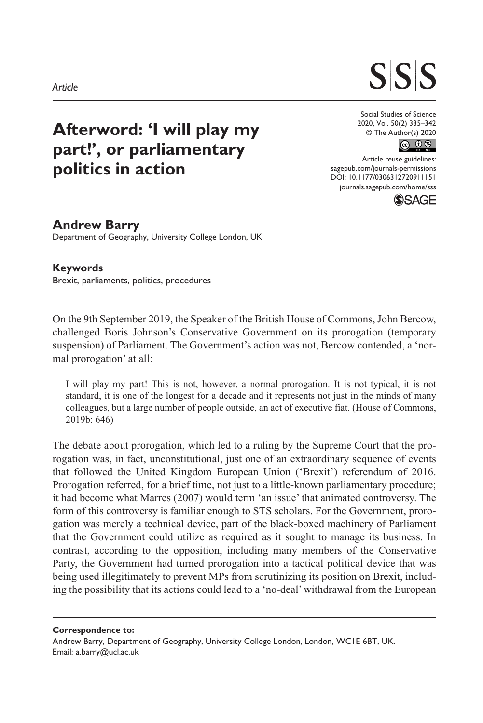# **Afterword: 'I will play my part!', or parliamentary politics in action**

Social Studies of Science 2020, Vol. 50(2) 335–342  $\circledcirc$  The Author(s) 2020



DOI: 10.1177/0306312720911151 Article reuse guidelines: [sagepub.com/journals-permissions](https://uk.sagepub.com/en-gb/journals-permissions) [journals.sagepub.com/home/sss](https://journals.sagepub.com/home/sss)



## **Andrew Barry**

Department of Geography, University College London, UK

#### **Keywords**

Brexit, parliaments, politics, procedures

On the 9th September 2019, the Speaker of the British House of Commons, John Bercow, challenged Boris Johnson's Conservative Government on its prorogation (temporary suspension) of Parliament. The Government's action was not, Bercow contended, a 'normal prorogation' at all:

I will play my part! This is not, however, a normal prorogation. It is not typical, it is not standard, it is one of the longest for a decade and it represents not just in the minds of many colleagues, but a large number of people outside, an act of executive fiat. (House of Commons, 2019b: 646)

The debate about prorogation, which led to a ruling by the Supreme Court that the prorogation was, in fact, unconstitutional, just one of an extraordinary sequence of events that followed the United Kingdom European Union ('Brexit') referendum of 2016. Prorogation referred, for a brief time, not just to a little-known parliamentary procedure; it had become what Marres (2007) would term 'an issue' that animated controversy. The form of this controversy is familiar enough to STS scholars. For the Government, prorogation was merely a technical device, part of the black-boxed machinery of Parliament that the Government could utilize as required as it sought to manage its business. In contrast, according to the opposition, including many members of the Conservative Party, the Government had turned prorogation into a tactical political device that was being used illegitimately to prevent MPs from scrutinizing its position on Brexit, including the possibility that its actions could lead to a 'no-deal' withdrawal from the European

**Correspondence to:** Andrew Barry, Department of Geography, University College London, London, WC1E 6BT, UK. Email: [a.barry@ucl.ac.uk](mailto:a.barry@ucl.ac.uk)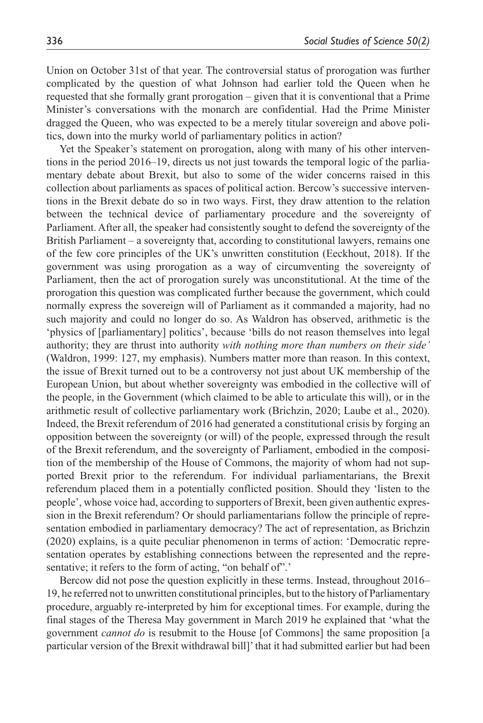Union on October 31st of that year. The controversial status of prorogation was further complicated by the question of what Johnson had earlier told the Queen when he requested that she formally grant prorogation – given that it is conventional that a Prime Minister's conversations with the monarch are confidential. Had the Prime Minister dragged the Queen, who was expected to be a merely titular sovereign and above politics, down into the murky world of parliamentary politics in action?

Yet the Speaker's statement on prorogation, along with many of his other interventions in the period 2016–19, directs us not just towards the temporal logic of the parliamentary debate about Brexit, but also to some of the wider concerns raised in this collection about parliaments as spaces of political action. Bercow's successive interventions in the Brexit debate do so in two ways. First, they draw attention to the relation between the technical device of parliamentary procedure and the sovereignty of Parliament. After all, the speaker had consistently sought to defend the sovereignty of the British Parliament – a sovereignty that, according to constitutional lawyers, remains one of the few core principles of the UK's unwritten constitution (Eeckhout, 2018). If the government was using prorogation as a way of circumventing the sovereignty of Parliament, then the act of prorogation surely was unconstitutional. At the time of the prorogation this question was complicated further because the government, which could normally express the sovereign will of Parliament as it commanded a majority, had no such majority and could no longer do so. As Waldron has observed, arithmetic is the 'physics of [parliamentary] politics', because 'bills do not reason themselves into legal authority; they are thrust into authority *with nothing more than numbers on their side'* (Waldron, 1999: 127, my emphasis). Numbers matter more than reason. In this context, the issue of Brexit turned out to be a controversy not just about UK membership of the European Union, but about whether sovereignty was embodied in the collective will of the people, in the Government (which claimed to be able to articulate this will), or in the arithmetic result of collective parliamentary work (Brichzin, 2020; Laube et al., 2020). Indeed, the Brexit referendum of 2016 had generated a constitutional crisis by forging an opposition between the sovereignty (or will) of the people, expressed through the result of the Brexit referendum, and the sovereignty of Parliament, embodied in the composition of the membership of the House of Commons, the majority of whom had not supported Brexit prior to the referendum. For individual parliamentarians, the Brexit referendum placed them in a potentially conflicted position. Should they 'listen to the people', whose voice had, according to supporters of Brexit, been given authentic expression in the Brexit referendum? Or should parliamentarians follow the principle of representation embodied in parliamentary democracy? The act of representation, as Brichzin (2020) explains, is a quite peculiar phenomenon in terms of action: 'Democratic representation operates by establishing connections between the represented and the representative; it refers to the form of acting, "on behalf of".'

Bercow did not pose the question explicitly in these terms. Instead, throughout 2016– 19, he referred not to unwritten constitutional principles, but to the history of Parliamentary procedure, arguably re-interpreted by him for exceptional times. For example, during the final stages of the Theresa May government in March 2019 he explained that 'what the government *cannot do* is resubmit to the House [of Commons] the same proposition [a particular version of the Brexit withdrawal bill]' that it had submitted earlier but had been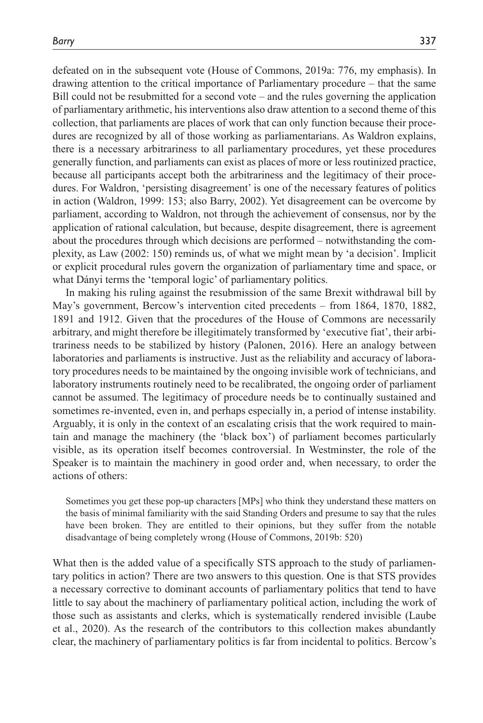defeated on in the subsequent vote (House of Commons, 2019a: 776, my emphasis). In drawing attention to the critical importance of Parliamentary procedure – that the same Bill could not be resubmitted for a second vote – and the rules governing the application of parliamentary arithmetic, his interventions also draw attention to a second theme of this collection, that parliaments are places of work that can only function because their procedures are recognized by all of those working as parliamentarians. As Waldron explains, there is a necessary arbitrariness to all parliamentary procedures, yet these procedures generally function, and parliaments can exist as places of more or less routinized practice, because all participants accept both the arbitrariness and the legitimacy of their procedures. For Waldron, 'persisting disagreement' is one of the necessary features of politics in action (Waldron, 1999: 153; also Barry, 2002). Yet disagreement can be overcome by parliament, according to Waldron, not through the achievement of consensus, nor by the application of rational calculation, but because, despite disagreement, there is agreement about the procedures through which decisions are performed – notwithstanding the complexity, as Law (2002: 150) reminds us, of what we might mean by 'a decision'. Implicit or explicit procedural rules govern the organization of parliamentary time and space, or what Dányi terms the 'temporal logic' of parliamentary politics.

In making his ruling against the resubmission of the same Brexit withdrawal bill by May's government, Bercow's intervention cited precedents – from 1864, 1870, 1882, 1891 and 1912. Given that the procedures of the House of Commons are necessarily arbitrary, and might therefore be illegitimately transformed by 'executive fiat', their arbitrariness needs to be stabilized by history (Palonen, 2016). Here an analogy between laboratories and parliaments is instructive. Just as the reliability and accuracy of laboratory procedures needs to be maintained by the ongoing invisible work of technicians, and laboratory instruments routinely need to be recalibrated, the ongoing order of parliament cannot be assumed. The legitimacy of procedure needs be to continually sustained and sometimes re-invented, even in, and perhaps especially in, a period of intense instability. Arguably, it is only in the context of an escalating crisis that the work required to maintain and manage the machinery (the 'black box') of parliament becomes particularly visible, as its operation itself becomes controversial. In Westminster, the role of the Speaker is to maintain the machinery in good order and, when necessary, to order the actions of others:

Sometimes you get these pop-up characters [MPs] who think they understand these matters on the basis of minimal familiarity with the said Standing Orders and presume to say that the rules have been broken. They are entitled to their opinions, but they suffer from the notable disadvantage of being completely wrong (House of Commons, 2019b: 520)

What then is the added value of a specifically STS approach to the study of parliamentary politics in action? There are two answers to this question. One is that STS provides a necessary corrective to dominant accounts of parliamentary politics that tend to have little to say about the machinery of parliamentary political action, including the work of those such as assistants and clerks, which is systematically rendered invisible (Laube et al., 2020). As the research of the contributors to this collection makes abundantly clear, the machinery of parliamentary politics is far from incidental to politics. Bercow's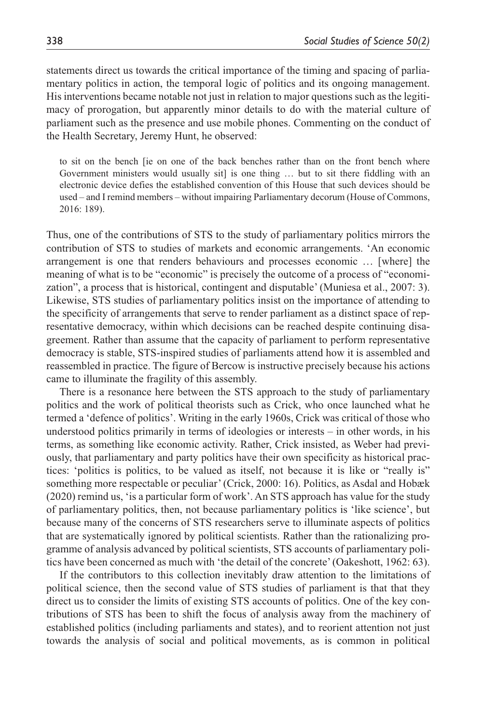statements direct us towards the critical importance of the timing and spacing of parliamentary politics in action, the temporal logic of politics and its ongoing management. His interventions became notable not just in relation to major questions such as the legitimacy of prorogation, but apparently minor details to do with the material culture of parliament such as the presence and use mobile phones. Commenting on the conduct of the Health Secretary, Jeremy Hunt, he observed:

to sit on the bench [ie on one of the back benches rather than on the front bench where Government ministers would usually sit] is one thing ... but to sit there fiddling with an electronic device defies the established convention of this House that such devices should be used – and I remind members – without impairing Parliamentary decorum (House of Commons, 2016: 189).

Thus, one of the contributions of STS to the study of parliamentary politics mirrors the contribution of STS to studies of markets and economic arrangements. 'An economic arrangement is one that renders behaviours and processes economic … [where] the meaning of what is to be "economic" is precisely the outcome of a process of "economization", a process that is historical, contingent and disputable' (Muniesa et al., 2007: 3). Likewise, STS studies of parliamentary politics insist on the importance of attending to the specificity of arrangements that serve to render parliament as a distinct space of representative democracy, within which decisions can be reached despite continuing disagreement. Rather than assume that the capacity of parliament to perform representative democracy is stable, STS-inspired studies of parliaments attend how it is assembled and reassembled in practice. The figure of Bercow is instructive precisely because his actions came to illuminate the fragility of this assembly.

There is a resonance here between the STS approach to the study of parliamentary politics and the work of political theorists such as Crick, who once launched what he termed a 'defence of politics'. Writing in the early 1960s, Crick was critical of those who understood politics primarily in terms of ideologies or interests – in other words, in his terms, as something like economic activity. Rather, Crick insisted, as Weber had previously, that parliamentary and party politics have their own specificity as historical practices: 'politics is politics, to be valued as itself, not because it is like or "really is" something more respectable or peculiar' (Crick, 2000: 16). Politics, as Asdal and Hobæk (2020) remind us, 'is a particular form of work'. An STS approach has value for the study of parliamentary politics, then, not because parliamentary politics is 'like science', but because many of the concerns of STS researchers serve to illuminate aspects of politics that are systematically ignored by political scientists. Rather than the rationalizing programme of analysis advanced by political scientists, STS accounts of parliamentary politics have been concerned as much with 'the detail of the concrete' (Oakeshott, 1962: 63).

If the contributors to this collection inevitably draw attention to the limitations of political science, then the second value of STS studies of parliament is that that they direct us to consider the limits of existing STS accounts of politics. One of the key contributions of STS has been to shift the focus of analysis away from the machinery of established politics (including parliaments and states), and to reorient attention not just towards the analysis of social and political movements, as is common in political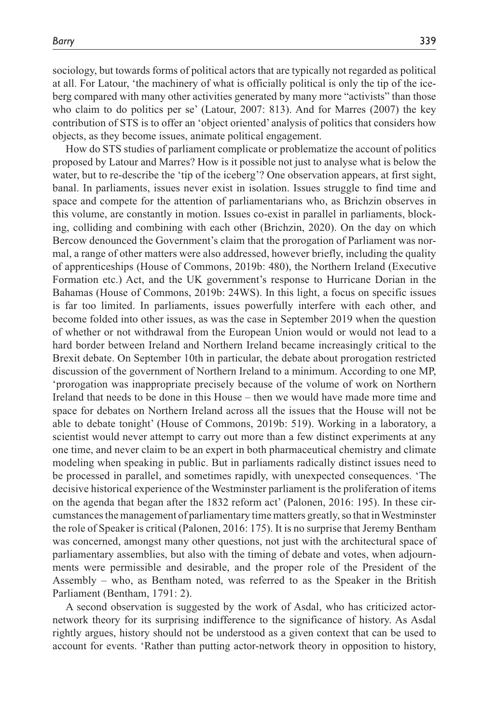sociology, but towards forms of political actors that are typically not regarded as political at all. For Latour, 'the machinery of what is officially political is only the tip of the iceberg compared with many other activities generated by many more "activists" than those who claim to do politics per se' (Latour, 2007: 813). And for Marres (2007) the key contribution of STS is to offer an 'object oriented' analysis of politics that considers how objects, as they become issues, animate political engagement.

How do STS studies of parliament complicate or problematize the account of politics proposed by Latour and Marres? How is it possible not just to analyse what is below the water, but to re-describe the 'tip of the iceberg'? One observation appears, at first sight, banal. In parliaments, issues never exist in isolation. Issues struggle to find time and space and compete for the attention of parliamentarians who, as Brichzin observes in this volume, are constantly in motion. Issues co-exist in parallel in parliaments, blocking, colliding and combining with each other (Brichzin, 2020). On the day on which Bercow denounced the Government's claim that the prorogation of Parliament was normal, a range of other matters were also addressed, however briefly, including the quality of apprenticeships (House of Commons, 2019b: 480), the Northern Ireland (Executive Formation etc.) Act, and the UK government's response to Hurricane Dorian in the Bahamas (House of Commons, 2019b: 24WS). In this light, a focus on specific issues is far too limited. In parliaments, issues powerfully interfere with each other, and become folded into other issues, as was the case in September 2019 when the question of whether or not withdrawal from the European Union would or would not lead to a hard border between Ireland and Northern Ireland became increasingly critical to the Brexit debate. On September 10th in particular, the debate about prorogation restricted discussion of the government of Northern Ireland to a minimum. According to one MP, 'prorogation was inappropriate precisely because of the volume of work on Northern Ireland that needs to be done in this House – then we would have made more time and space for debates on Northern Ireland across all the issues that the House will not be able to debate tonight' (House of Commons, 2019b: 519). Working in a laboratory, a scientist would never attempt to carry out more than a few distinct experiments at any one time, and never claim to be an expert in both pharmaceutical chemistry and climate modeling when speaking in public. But in parliaments radically distinct issues need to be processed in parallel, and sometimes rapidly, with unexpected consequences. 'The decisive historical experience of the Westminster parliament is the proliferation of items on the agenda that began after the 1832 reform act' (Palonen, 2016: 195). In these circumstances the management of parliamentary time matters greatly, so that in Westminster the role of Speaker is critical (Palonen, 2016: 175). It is no surprise that Jeremy Bentham was concerned, amongst many other questions, not just with the architectural space of parliamentary assemblies, but also with the timing of debate and votes, when adjournments were permissible and desirable, and the proper role of the President of the Assembly – who, as Bentham noted, was referred to as the Speaker in the British Parliament (Bentham, 1791: 2).

A second observation is suggested by the work of Asdal, who has criticized actornetwork theory for its surprising indifference to the significance of history. As Asdal rightly argues, history should not be understood as a given context that can be used to account for events. 'Rather than putting actor-network theory in opposition to history,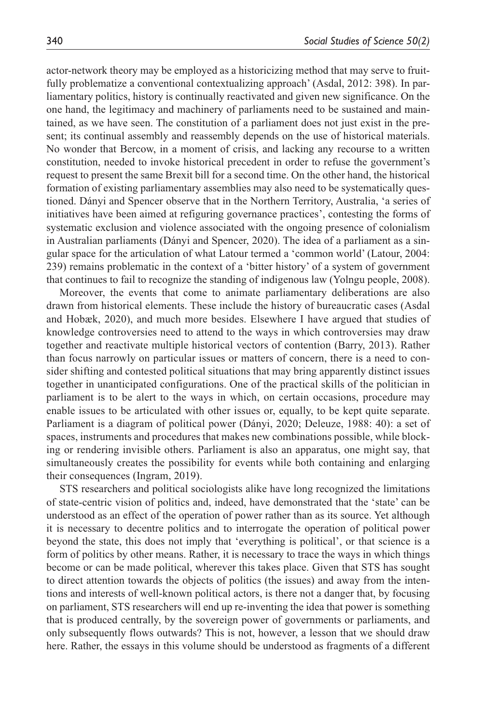actor-network theory may be employed as a historicizing method that may serve to fruitfully problematize a conventional contextualizing approach' (Asdal, 2012: 398). In parliamentary politics, history is continually reactivated and given new significance. On the one hand, the legitimacy and machinery of parliaments need to be sustained and maintained, as we have seen. The constitution of a parliament does not just exist in the present; its continual assembly and reassembly depends on the use of historical materials. No wonder that Bercow, in a moment of crisis, and lacking any recourse to a written constitution, needed to invoke historical precedent in order to refuse the government's request to present the same Brexit bill for a second time. On the other hand, the historical formation of existing parliamentary assemblies may also need to be systematically questioned. Dányi and Spencer observe that in the Northern Territory, Australia, 'a series of initiatives have been aimed at refiguring governance practices', contesting the forms of systematic exclusion and violence associated with the ongoing presence of colonialism in Australian parliaments (Dányi and Spencer, 2020). The idea of a parliament as a singular space for the articulation of what Latour termed a 'common world' (Latour, 2004: 239) remains problematic in the context of a 'bitter history' of a system of government that continues to fail to recognize the standing of indigenous law (Yolngu people, 2008).

Moreover, the events that come to animate parliamentary deliberations are also drawn from historical elements. These include the history of bureaucratic cases (Asdal and Hobæk, 2020), and much more besides. Elsewhere I have argued that studies of knowledge controversies need to attend to the ways in which controversies may draw together and reactivate multiple historical vectors of contention (Barry, 2013). Rather than focus narrowly on particular issues or matters of concern, there is a need to consider shifting and contested political situations that may bring apparently distinct issues together in unanticipated configurations. One of the practical skills of the politician in parliament is to be alert to the ways in which, on certain occasions, procedure may enable issues to be articulated with other issues or, equally, to be kept quite separate. Parliament is a diagram of political power (Dányi, 2020; Deleuze, 1988: 40): a set of spaces, instruments and procedures that makes new combinations possible, while blocking or rendering invisible others. Parliament is also an apparatus, one might say, that simultaneously creates the possibility for events while both containing and enlarging their consequences (Ingram, 2019).

STS researchers and political sociologists alike have long recognized the limitations of state-centric vision of politics and, indeed, have demonstrated that the 'state' can be understood as an effect of the operation of power rather than as its source. Yet although it is necessary to decentre politics and to interrogate the operation of political power beyond the state, this does not imply that 'everything is political', or that science is a form of politics by other means. Rather, it is necessary to trace the ways in which things become or can be made political, wherever this takes place. Given that STS has sought to direct attention towards the objects of politics (the issues) and away from the intentions and interests of well-known political actors, is there not a danger that, by focusing on parliament, STS researchers will end up re-inventing the idea that power is something that is produced centrally, by the sovereign power of governments or parliaments, and only subsequently flows outwards? This is not, however, a lesson that we should draw here. Rather, the essays in this volume should be understood as fragments of a different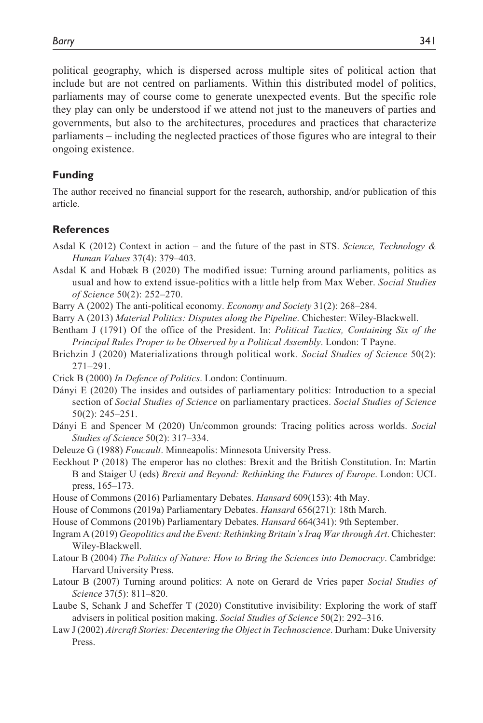political geography, which is dispersed across multiple sites of political action that include but are not centred on parliaments. Within this distributed model of politics, parliaments may of course come to generate unexpected events. But the specific role they play can only be understood if we attend not just to the maneuvers of parties and governments, but also to the architectures, procedures and practices that characterize parliaments – including the neglected practices of those figures who are integral to their ongoing existence.

### **Funding**

The author received no financial support for the research, authorship, and/or publication of this article.

#### **References**

- Asdal K (2012) Context in action and the future of the past in STS. *Science, Technology & Human Values* 37(4): 379–403.
- Asdal K and Hobæk B (2020) The modified issue: Turning around parliaments, politics as usual and how to extend issue-politics with a little help from Max Weber. *Social Studies of Science* 50(2): 252–270.
- Barry A (2002) The anti-political economy. *Economy and Society* 31(2): 268–284.
- Barry A (2013) *Material Politics: Disputes along the Pipeline*. Chichester: Wiley-Blackwell.
- Bentham J (1791) Of the office of the President. In: *Political Tactics, Containing Six of the Principal Rules Proper to be Observed by a Political Assembly*. London: T Payne.
- Brichzin J (2020) Materializations through political work. *Social Studies of Science* 50(2): 271–291.
- Crick B (2000) *In Defence of Politics*. London: Continuum.
- Dányi E (2020) The insides and outsides of parliamentary politics: Introduction to a special section of *Social Studies of Science* on parliamentary practices. *Social Studies of Science*  50(2): 245–251.
- Dányi E and Spencer M (2020) Un/common grounds: Tracing politics across worlds. *Social Studies of Science* 50(2): 317–334.
- Deleuze G (1988) *Foucault*. Minneapolis: Minnesota University Press.
- Eeckhout P (2018) The emperor has no clothes: Brexit and the British Constitution. In: Martin B and Staiger U (eds) *Brexit and Beyond: Rethinking the Futures of Europe*. London: UCL press, 165–173.
- House of Commons (2016) Parliamentary Debates. *Hansard* 609(153): 4th May.
- House of Commons (2019a) Parliamentary Debates. *Hansard* 656(271): 18th March.
- House of Commons (2019b) Parliamentary Debates. *Hansard* 664(341): 9th September.
- Ingram A (2019) *Geopolitics and the Event: Rethinking Britain's Iraq War through Art*. Chichester: Wiley-Blackwell.
- Latour B (2004) *The Politics of Nature: How to Bring the Sciences into Democracy*. Cambridge: Harvard University Press.
- Latour B (2007) Turning around politics: A note on Gerard de Vries paper *Social Studies of Science* 37(5): 811–820.
- Laube S, Schank J and Scheffer T (2020) Constitutive invisibility: Exploring the work of staff advisers in political position making. *Social Studies of Science* 50(2): 292–316.
- Law J (2002) *Aircraft Stories: Decentering the Object in Technoscience*. Durham: Duke University Press.